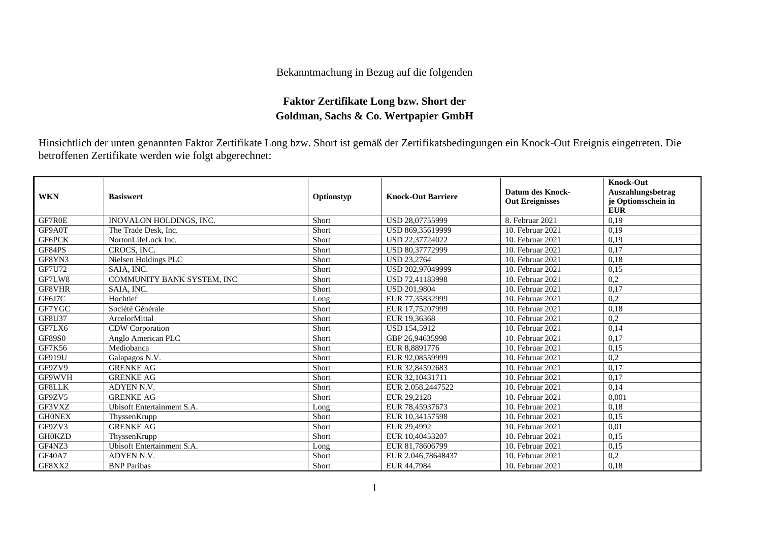## Bekanntmachung in Bezug auf die folgenden

## **Faktor Zertifikate Long bzw. Short der Goldman, Sachs & Co. Wertpapier GmbH**

Hinsichtlich der unten genannten Faktor Zertifikate Long bzw. Short ist gemäß der Zertifikatsbedingungen ein Knock-Out Ereignis eingetreten. Die betroffenen Zertifikate werden wie folgt abgerechnet:

| <b>WKN</b>    | <b>Basiswert</b>                  | Optionstyp | <b>Knock-Out Barriere</b> | <b>Datum des Knock-</b><br><b>Out Ereignisses</b> | <b>Knock-Out</b><br>Auszahlungsbetrag<br>je Optionsschein in<br><b>EUR</b> |
|---------------|-----------------------------------|------------|---------------------------|---------------------------------------------------|----------------------------------------------------------------------------|
| GF7R0E        | INOVALON HOLDINGS, INC.           | Short      | USD 28,07755999           | 8. Februar 2021                                   | 0,19                                                                       |
| GF9A0T        | The Trade Desk, Inc.              | Short      | USD 869,35619999          | 10. Februar 2021                                  | 0,19                                                                       |
| GF6PCK        | NortonLifeLock Inc.               | Short      | USD 22,37724022           | 10. Februar 2021                                  | 0,19                                                                       |
| GF84PS        | CROCS, INC.                       | Short      | USD 80.37772999           | 10. Februar 2021                                  | 0,17                                                                       |
| GF8YN3        | Nielsen Holdings PLC              | Short      | <b>USD 23,2764</b>        | 10. Februar 2021                                  | 0,18                                                                       |
| <b>GF7U72</b> | SAIA, INC.                        | Short      | USD 202,97049999          | 10. Februar 2021                                  | 0,15                                                                       |
| GF7LW8        | <b>COMMUNITY BANK SYSTEM, INC</b> | Short      | USD 72.41183998           | 10. Februar 2021                                  | 0,2                                                                        |
| GF8VHR        | SAIA, INC.                        | Short      | <b>USD 201.9804</b>       | 10. Februar 2021                                  | 0,17                                                                       |
| GF6J7C        | Hochtief                          | Long       | EUR 77,35832999           | 10. Februar 2021                                  | 0,2                                                                        |
| GF7YGC        | Société Générale                  | Short      | EUR 17,75207999           | 10. Februar 2021                                  | 0,18                                                                       |
| <b>GF8U37</b> | ArcelorMittal                     | Short      | EUR 19.36368              | 10. Februar 2021                                  | 0,2                                                                        |
| GF7LX6        | CDW Corporation                   | Short      | <b>USD 154,5912</b>       | 10. Februar 2021                                  | 0,14                                                                       |
| <b>GF89S0</b> | Anglo American PLC                | Short      | GBP 26,94635998           | 10. Februar 2021                                  | 0,17                                                                       |
| GF7K56        | Mediobanca                        | Short      | EUR 8,8891776             | 10. Februar 2021                                  | 0,15                                                                       |
| <b>GF919U</b> | Galapagos N.V.                    | Short      | EUR 92,08559999           | 10. Februar 2021                                  | 0,2                                                                        |
| GF9ZV9        | <b>GRENKE AG</b>                  | Short      | EUR 32,84592683           | 10. Februar 2021                                  | 0,17                                                                       |
| GF9WVH        | <b>GRENKE AG</b>                  | Short      | EUR 32,10431711           | 10. Februar 2021                                  | 0,17                                                                       |
| <b>GF8LLK</b> | ADYEN N.V.                        | Short      | EUR 2.058,2447522         | 10. Februar 2021                                  | 0.14                                                                       |
| GF9ZV5        | <b>GRENKE AG</b>                  | Short      | EUR 29,2128               | 10. Februar 2021                                  | 0,001                                                                      |
| GF3VXZ        | Ubisoft Entertainment S.A.        | Long       | EUR 78,45937673           | 10. Februar 2021                                  | 0,18                                                                       |
| <b>GHONEX</b> | ThyssenKrupp                      | Short      | EUR 10.34157598           | 10. Februar 2021                                  | 0,15                                                                       |
| GF9ZV3        | <b>GRENKE AG</b>                  | Short      | EUR 29,4992               | 10. Februar 2021                                  | 0,01                                                                       |
| <b>GH0KZD</b> | ThyssenKrupp                      | Short      | EUR 10.40453207           | 10. Februar 2021                                  | 0.15                                                                       |
| GF4NZ3        | Ubisoft Entertainment S.A.        | Long       | EUR 81,78606799           | 10. Februar 2021                                  | 0.15                                                                       |
| <b>GF40A7</b> | <b>ADYEN N.V.</b>                 | Short      | EUR 2.046.78648437        | 10. Februar 2021                                  | 0,2                                                                        |
| GF8XX2        | <b>BNP</b> Paribas                | Short      | EUR 44,7984               | 10. Februar 2021                                  | 0,18                                                                       |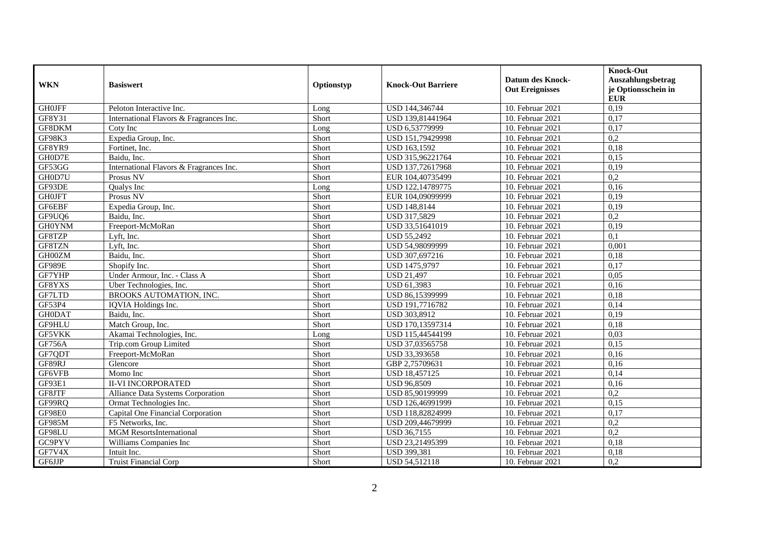| <b>WKN</b>    | <b>Basiswert</b>                        | Optionstyp | <b>Knock-Out Barriere</b> | <b>Datum des Knock-</b><br><b>Out Ereignisses</b> | <b>Knock-Out</b><br>Auszahlungsbetrag<br>je Optionsschein in<br><b>EUR</b> |
|---------------|-----------------------------------------|------------|---------------------------|---------------------------------------------------|----------------------------------------------------------------------------|
| <b>GH0JFF</b> | Peloton Interactive Inc.                | Long       | USD 144,346744            | 10. Februar 2021                                  | 0,19                                                                       |
| GF8Y31        | International Flavors & Fragrances Inc. | Short      | USD 139,81441964          | 10. Februar 2021                                  | 0,17                                                                       |
| GF8DKM        | Coty Inc                                | Long       | USD 6,53779999            | 10. Februar 2021                                  | 0,17                                                                       |
| GF98K3        | Expedia Group, Inc.                     | Short      | USD 151,79429998          | 10. Februar 2021                                  | 0,2                                                                        |
| GF8YR9        | Fortinet, Inc.                          | Short      | USD 163,1592              | 10. Februar 2021                                  | 0,18                                                                       |
| GH0D7E        | Baidu, Inc.                             | Short      | USD 315,96221764          | 10. Februar 2021                                  | 0,15                                                                       |
| GF53GG        | International Flavors & Fragrances Inc. | Short      | USD 137,72617968          | 10. Februar 2021                                  | 0,19                                                                       |
| GH0D7U        | Prosus NV                               | Short      | EUR 104,40735499          | 10. Februar 2021                                  | 0,2                                                                        |
| GF93DE        | Qualys Inc                              | Long       | USD 122,14789775          | 10. Februar 2021                                  | 0,16                                                                       |
| <b>GH0JFT</b> | Prosus NV                               | Short      | EUR 104,09099999          | 10. Februar 2021                                  | 0,19                                                                       |
| GF6EBF        | Expedia Group, Inc.                     | Short      | <b>USD 148,8144</b>       | 10. Februar 2021                                  | 0,19                                                                       |
| GF9UQ6        | Baidu. Inc.                             | Short      | USD 317,5829              | 10. Februar 2021                                  | 0,2                                                                        |
| <b>GH0YNM</b> | Freeport-McMoRan                        | Short      | USD 33,51641019           | 10. Februar 2021                                  | 0,19                                                                       |
| GF8TZP        | Lyft, Inc.                              | Short      | <b>USD 55,2492</b>        | 10. Februar 2021                                  | 0,1                                                                        |
| GF8TZN        | Lyft, Inc.                              | Short      | USD 54,98099999           | 10. Februar 2021                                  | 0,001                                                                      |
| GH00ZM        | Baidu, Inc.                             | Short      | USD 307,697216            | 10. Februar 2021                                  | 0,18                                                                       |
| <b>GF989E</b> | Shopify Inc.                            | Short      | <b>USD 1475.9797</b>      | 10. Februar 2021                                  | 0,17                                                                       |
| GF7YHP        | Under Armour, Inc. - Class A            | Short      | <b>USD 21,497</b>         | 10. Februar 2021                                  | 0,05                                                                       |
| GF8YXS        | Uber Technologies, Inc.                 | Short      | USD 61,3983               | 10. Februar 2021                                  | 0,16                                                                       |
| GF7LTD        | BROOKS AUTOMATION, INC.                 | Short      | USD 86,15399999           | 10. Februar 2021                                  | 0,18                                                                       |
| GF53P4        | IQVIA Holdings Inc.                     | Short      | USD 191,7716782           | 10. Februar 2021                                  | 0,14                                                                       |
| <b>GH0DAT</b> | Baidu, Inc.                             | Short      | USD 303,8912              | 10. Februar 2021                                  | 0,19                                                                       |
| GF9HLU        | Match Group, Inc.                       | Short      | USD 170,13597314          | 10. Februar 2021                                  | 0,18                                                                       |
| GF5VKK        | Akamai Technologies, Inc.               | Long       | USD 115,44544199          | 10. Februar 2021                                  | 0,03                                                                       |
| GF756A        | Trip.com Group Limited                  | Short      | USD 37,03565758           | 10. Februar 2021                                  | 0,15                                                                       |
| GF7QDT        | Freeport-McMoRan                        | Short      | USD 33,393658             | 10. Februar 2021                                  | 0,16                                                                       |
| GF89RJ        | Glencore                                | Short      | GBP 2,75709631            | 10. Februar 2021                                  | 0,16                                                                       |
| GF6VFB        | Momo Inc                                | Short      | USD 18,457125             | 10. Februar 2021                                  | 0,14                                                                       |
| GF93E1        | <b>II-VI INCORPORATED</b>               | Short      | <b>USD 96,8509</b>        | 10. Februar 2021                                  | 0,16                                                                       |
| GF8JTF        | Alliance Data Systems Corporation       | Short      | USD 85,90199999           | 10. Februar 2021                                  | 0,2                                                                        |
| GF99RQ        | Ormat Technologies Inc.                 | Short      | USD 126,46991999          | 10. Februar 2021                                  | 0,15                                                                       |
| GF98E0        | Capital One Financial Corporation       | Short      | USD 118,82824999          | 10. Februar 2021                                  | 0,17                                                                       |
| <b>GF985M</b> | F5 Networks, Inc.                       | Short      | USD 209,44679999          | 10. Februar 2021                                  | 0,2                                                                        |
| GF98LU        | <b>MGM</b> ResortsInternational         | Short      | <b>USD 36,7155</b>        | 10. Februar 2021                                  | $\overline{0,2}$                                                           |
| GC9PYV        | Williams Companies Inc                  | Short      | USD 23,21495399           | 10. Februar 2021                                  | 0,18                                                                       |
| GF7V4X        | Intuit Inc.                             | Short      | <b>USD 399,381</b>        | 10. Februar 2021                                  | 0,18                                                                       |
| GF6JJP        | <b>Truist Financial Corp</b>            | Short      | USD 54,512118             | 10. Februar 2021                                  | 0,2                                                                        |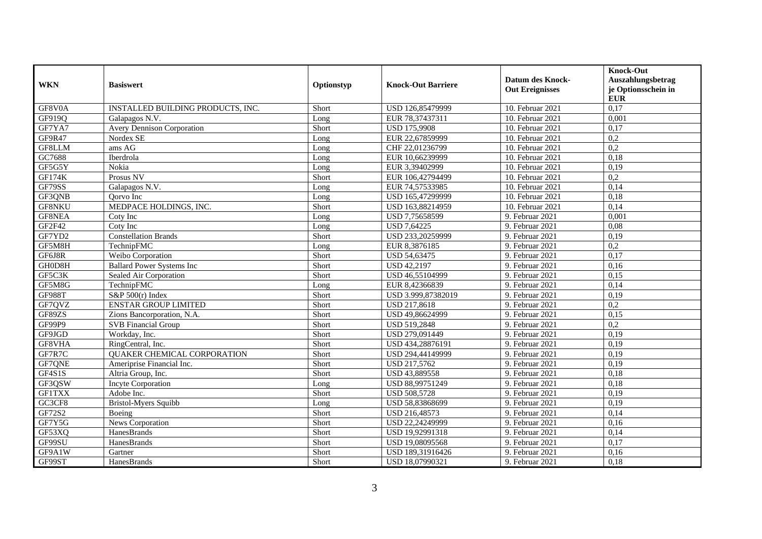| <b>WKN</b>    | <b>Basiswert</b>                   | Optionstyp | <b>Knock-Out Barriere</b> | <b>Datum des Knock-</b><br><b>Out Ereignisses</b> | <b>Knock-Out</b><br>Auszahlungsbetrag<br>je Optionsschein in<br><b>EUR</b> |
|---------------|------------------------------------|------------|---------------------------|---------------------------------------------------|----------------------------------------------------------------------------|
| GF8V0A        | INSTALLED BUILDING PRODUCTS, INC.  | Short      | USD 126,85479999          | 10. Februar 2021                                  | 0,17                                                                       |
| GF919Q        | Galapagos N.V.                     | Long       | EUR 78,37437311           | 10. Februar 2021                                  | 0,001                                                                      |
| GF7YA7        | <b>Avery Dennison Corporation</b>  | Short      | <b>USD 175,9908</b>       | 10. Februar 2021                                  | 0,17                                                                       |
| GF9R47        | Nordex SE                          | Long       | EUR 22,67859999           | 10. Februar 2021                                  | 0,2                                                                        |
| GF8LLM        | ams AG                             | Long       | CHF 22,01236799           | 10. Februar 2021                                  | 0,2                                                                        |
| GC7688        | Iberdrola                          | Long       | EUR 10.66239999           | 10. Februar 2021                                  | 0.18                                                                       |
| GF5G5Y        | Nokia                              | Long       | EUR 3,39402999            | 10. Februar 2021                                  | 0,19                                                                       |
| <b>GF174K</b> | Prosus NV                          | Short      | EUR 106,42794499          | 10. Februar 2021                                  | 0,2                                                                        |
| GF79SS        | Galapagos N.V.                     | Long       | EUR 74,57533985           | 10. Februar 2021                                  | 0,14                                                                       |
| GF3QNB        | Oorvo Inc                          | Long       | USD 165,47299999          | 10. Februar 2021                                  | 0,18                                                                       |
| <b>GF8NKU</b> | MEDPACE HOLDINGS, INC.             | Short      | USD 163,88214959          | 10. Februar 2021                                  | 0,14                                                                       |
| GF8NEA        | Coty Inc                           | Long       | USD 7,75658599            | 9. Februar 2021                                   | 0,001                                                                      |
| GF2F42        | Coty Inc                           | Long       | <b>USD 7,64225</b>        | 9. Februar 2021                                   | 0,08                                                                       |
| GF7YD2        | <b>Constellation Brands</b>        | Short      | USD 233,20259999          | 9. Februar 2021                                   | 0,19                                                                       |
| GF5M8H        | TechnipFMC                         | Long       | EUR 8,3876185             | 9. Februar 2021                                   | 0,2                                                                        |
| GF6J8R        | Weibo Corporation                  | Short      | <b>USD 54,63475</b>       | 9. Februar 2021                                   | 0,17                                                                       |
| GH0D8H        | <b>Ballard Power Systems Inc</b>   | Short      | <b>USD 42,2197</b>        | 9. Februar 2021                                   | 0,16                                                                       |
| GF5C3K        | Sealed Air Corporation             | Short      | USD 46,55104999           | 9. Februar 2021                                   | 0,15                                                                       |
| GF5M8G        | TechnipFMC                         | Long       | EUR 8,42366839            | 9. Februar 2021                                   | 0,14                                                                       |
| <b>GF988T</b> | $S\&P 500(r)$ Index                | Short      | USD 3.999,87382019        | 9. Februar 2021                                   | 0,19                                                                       |
| GF7QVZ        | <b>ENSTAR GROUP LIMITED</b>        | Short      | <b>USD 217,8618</b>       | 9. Februar 2021                                   | 0,2                                                                        |
| GF89ZS        | Zions Bancorporation, N.A.         | Short      | USD 49,86624999           | 9. Februar 2021                                   | 0,15                                                                       |
| GF99P9        | <b>SVB</b> Financial Group         | Short      | USD 519,2848              | 9. Februar 2021                                   | 0,2                                                                        |
| GF9JGD        | Workday, Inc.                      | Short      | USD 279,091449            | 9. Februar 2021                                   | 0,19                                                                       |
| GF8VHA        | RingCentral, Inc.                  | Short      | USD 434,28876191          | 9. Februar 2021                                   | 0,19                                                                       |
| GF7R7C        | <b>OUAKER CHEMICAL CORPORATION</b> | Short      | USD 294,44149999          | 9. Februar 2021                                   | 0,19                                                                       |
| GF7QNE        | Ameriprise Financial Inc.          | Short      | USD 217,5762              | 9. Februar 2021                                   | 0,19                                                                       |
| GF4S1S        | Altria Group, Inc.                 | Short      | USD 43,889558             | 9. Februar 2021                                   | 0,18                                                                       |
| GF3QSW        | <b>Incyte Corporation</b>          | Long       | USD 88,99751249           | 9. Februar 2021                                   | 0,18                                                                       |
| <b>GF1TXX</b> | Adobe Inc.                         | Short      | <b>USD 508,5728</b>       | 9. Februar 2021                                   | 0,19                                                                       |
| GC3CF8        | Bristol-Myers Squibb               | Long       | USD 58,83868699           | 9. Februar 2021                                   | 0,19                                                                       |
| GF72S2        | Boeing                             | Short      | USD 216,48573             | 9. Februar 2021                                   | 0,14                                                                       |
| GF7Y5G        | <b>News Corporation</b>            | Short      | USD 22,24249999           | 9. Februar 2021                                   | 0,16                                                                       |
| GF53XQ        | HanesBrands                        | Short      | USD 19,92991318           | 9. Februar 2021                                   | 0,14                                                                       |
| GF99SU        | HanesBrands                        | Short      | USD 19,08095568           | 9. Februar 2021                                   | 0,17                                                                       |
| GF9A1W        | Gartner                            | Short      | USD 189,31916426          | 9. Februar 2021                                   | 0,16                                                                       |
| GF99ST        | HanesBrands                        | Short      | USD 18,07990321           | 9. Februar 2021                                   | 0,18                                                                       |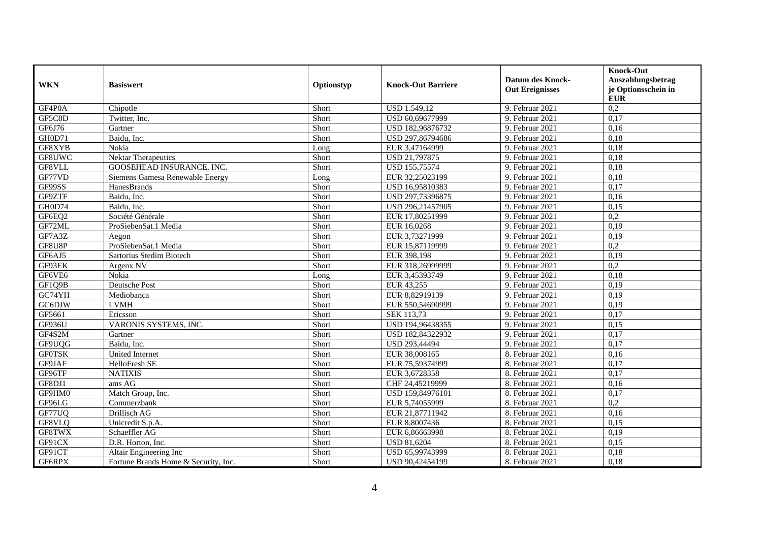| <b>WKN</b>    | <b>Basiswert</b>                     | Optionstyp | <b>Knock-Out Barriere</b> | <b>Datum des Knock-</b><br><b>Out Ereignisses</b> | <b>Knock-Out</b><br>Auszahlungsbetrag<br>je Optionsschein in<br><b>EUR</b> |
|---------------|--------------------------------------|------------|---------------------------|---------------------------------------------------|----------------------------------------------------------------------------|
| GF4P0A        | Chipotle                             | Short      | USD 1.549,12              | 9. Februar 2021                                   | 0,2                                                                        |
| GF5C8D        | Twitter, Inc.                        | Short      | USD 60,69677999           | 9. Februar 2021                                   | 0,17                                                                       |
| GF6J76        | Gartner                              | Short      | USD 182,96876732          | 9. Februar 2021                                   | 0,16                                                                       |
| GH0D71        | Baidu, Inc.                          | Short      | USD 297,86794686          | 9. Februar 2021                                   | 0,18                                                                       |
| GF8XYB        | Nokia                                | Long       | EUR 3,47164999            | 9. Februar 2021                                   | 0,18                                                                       |
| GF8UWC        | <b>Nektar Therapeutics</b>           | Short      | USD 21,797875             | 9. Februar 2021                                   | 0,18                                                                       |
| GF8VLL        | GOOSEHEAD INSURANCE, INC.            | Short      | USD 155,75574             | 9. Februar 2021                                   | 0,18                                                                       |
| GF77VD        | Siemens Gamesa Renewable Energy      | Long       | EUR 32,25023199           | 9. Februar 2021                                   | 0,18                                                                       |
| GF99SS        | HanesBrands                          | Short      | USD 16,95810383           | 9. Februar 2021                                   | 0,17                                                                       |
| GF9ZTF        | Baidu, Inc.                          | Short      | USD 297,73396875          | 9. Februar 2021                                   | 0,16                                                                       |
| GH0D74        | Baidu, Inc.                          | Short      | USD 296,21457905          | 9. Februar 2021                                   | 0,15                                                                       |
| GF6EQ2        | Société Générale                     | Short      | EUR 17,80251999           | 9. Februar 2021                                   | 0,2                                                                        |
| GF72ML        | ProSiebenSat.1 Media                 | Short      | EUR 16,0268               | 9. Februar 2021                                   | 0,19                                                                       |
| GF7A3Z        | Aegon                                | Short      | EUR 3,73271999            | 9. Februar 2021                                   | 0,19                                                                       |
| GF8U8P        | ProSiebenSat.1 Media                 | Short      | EUR 15,87119999           | 9. Februar 2021                                   | 0,2                                                                        |
| GF6AJ5        | Sartorius Stedim Biotech             | Short      | EUR 398,198               | 9. Februar 2021                                   | 0,19                                                                       |
| GF93EK        | Argenx NV                            | Short      | EUR 318,26999999          | 9. Februar 2021                                   | $\overline{0,2}$                                                           |
| GF6VE6        | Nokia                                | Long       | EUR 3,45393749            | 9. Februar 2021                                   | 0,18                                                                       |
| GF1Q9B        | <b>Deutsche Post</b>                 | Short      | EUR 43,255                | 9. Februar 2021                                   | 0,19                                                                       |
| GC74YH        | Mediobanca                           | Short      | EUR 8,82919139            | 9. Februar 2021                                   | 0,19                                                                       |
| <b>GC6DJW</b> | <b>LVMH</b>                          | Short      | EUR 550,54690999          | 9. Februar 2021                                   | 0,19                                                                       |
| GF5661        | Ericsson                             | Short      | SEK 113,73                | 9. Februar 2021                                   | 0,17                                                                       |
| GF936U        | VARONIS SYSTEMS, INC.                | Short      | USD 194,96438355          | 9. Februar 2021                                   | 0,15                                                                       |
| GF4S2M        | Gartner                              | Short      | USD 182,84322932          | 9. Februar 2021                                   | 0,17                                                                       |
| GF9UQG        | Baidu, Inc.                          | Short      | USD 293,44494             | 9. Februar 2021                                   | 0,17                                                                       |
| <b>GF0TSK</b> | <b>United Internet</b>               | Short      | EUR 38,008165             | 8. Februar 2021                                   | 0,16                                                                       |
| GF9JAF        | HelloFresh SE                        | Short      | EUR 75,59374999           | 8. Februar 2021                                   | 0,17                                                                       |
| GF96TF        | <b>NATIXIS</b>                       | Short      | EUR 3,6728358             | 8. Februar 2021                                   | 0,17                                                                       |
| GF8DJ1        | ams AG                               | Short      | CHF 24,45219999           | 8. Februar 2021                                   | 0,16                                                                       |
| GF9HM0        | Match Group, Inc.                    | Short      | USD 159,84976101          | 8. Februar 2021                                   | 0,17                                                                       |
| GF96LG        | Commerzbank                          | Short      | EUR 5,74055999            | 8. Februar 2021                                   | 0,2                                                                        |
| GF77UQ        | Drillisch AG                         | Short      | EUR 21,87711942           | 8. Februar 2021                                   | 0,16                                                                       |
| GF8VLQ        | Unicredit S.p.A.                     | Short      | EUR 8,8007436             | 8. Februar 2021                                   | 0,15                                                                       |
| GF8TWX        | Schaeffler AG                        | Short      | EUR 6,86663998            | 8. Februar 2021                                   | 0,19                                                                       |
| GF91CX        | D.R. Horton, Inc.                    | Short      | <b>USD 81,6204</b>        | 8. Februar 2021                                   | 0,15                                                                       |
| GF91CT        | Altair Engineering Inc               | Short      | USD 65,99743999           | 8. Februar 2021                                   | 0,18                                                                       |
| GF6RPX        | Fortune Brands Home & Security, Inc. | Short      | USD 90,42454199           | 8. Februar 2021                                   | 0,18                                                                       |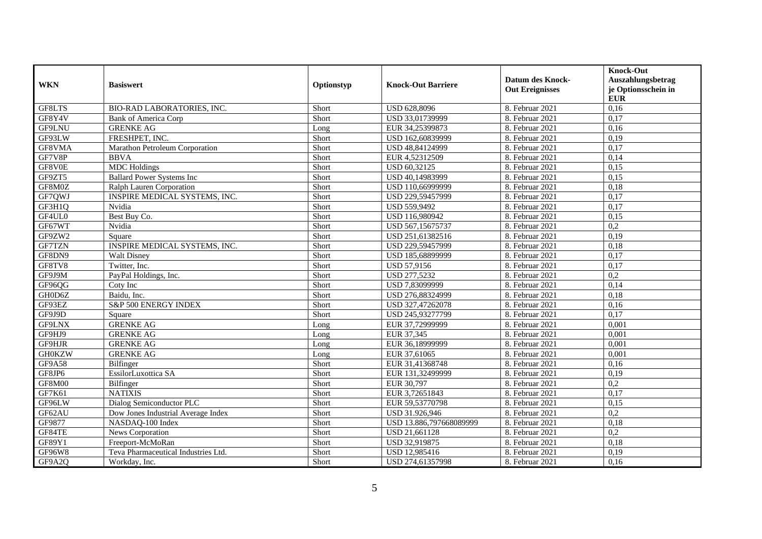|               |                                     |            |                           | <b>Datum des Knock-</b> | <b>Knock-Out</b><br>Auszahlungsbetrag |
|---------------|-------------------------------------|------------|---------------------------|-------------------------|---------------------------------------|
| <b>WKN</b>    | <b>Basiswert</b>                    | Optionstyp | <b>Knock-Out Barriere</b> | <b>Out Ereignisses</b>  | je Optionsschein in<br><b>EUR</b>     |
| GF8LTS        | BIO-RAD LABORATORIES, INC.          | Short      | USD 628,8096              | 8. Februar 2021         | 0,16                                  |
| GF8Y4V        | <b>Bank of America Corp</b>         | Short      | USD 33,01739999           | 8. Februar 2021         | 0,17                                  |
| GF9LNU        | <b>GRENKE AG</b>                    | Long       | EUR 34,25399873           | 8. Februar 2021         | 0,16                                  |
| GF93LW        | FRESHPET, INC.                      | Short      | USD 162,60839999          | 8. Februar 2021         | 0,19                                  |
| GF8VMA        | Marathon Petroleum Corporation      | Short      | USD 48,84124999           | 8. Februar 2021         | 0,17                                  |
| GF7V8P        | <b>BBVA</b>                         | Short      | EUR 4,52312509            | 8. Februar 2021         | 0,14                                  |
| GF8V0E        | <b>MDC</b> Holdings                 | Short      | USD 60,32125              | 8. Februar 2021         | 0,15                                  |
| GF9ZT5        | <b>Ballard Power Systems Inc</b>    | Short      | USD 40,14983999           | 8. Februar 2021         | 0,15                                  |
| GF8M0Z        | Ralph Lauren Corporation            | Short      | USD 110,66999999          | 8. Februar 2021         | 0,18                                  |
| GF7QWJ        | INSPIRE MEDICAL SYSTEMS, INC.       | Short      | USD 229,59457999          | 8. Februar 2021         | 0,17                                  |
| GF3H1Q        | Nvidia                              | Short      | <b>USD 559,9492</b>       | 8. Februar 2021         | 0,17                                  |
| GF4UL0        | Best Buy Co.                        | Short      | USD 116,980942            | 8. Februar 2021         | 0,15                                  |
| GF67WT        | Nvidia                              | Short      | USD 567,15675737          | 8. Februar 2021         | 0,2                                   |
| GF9ZW2        | Square                              | Short      | USD 251,61382516          | 8. Februar 2021         | 0,19                                  |
| GF7TZN        | INSPIRE MEDICAL SYSTEMS, INC.       | Short      | USD 229,59457999          | 8. Februar 2021         | 0,18                                  |
| GF8DN9        | <b>Walt Disney</b>                  | Short      | USD 185,68899999          | 8. Februar 2021         | 0,17                                  |
| GF8TV8        | Twitter, Inc.                       | Short      | USD 57,9156               | 8. Februar 2021         | 0,17                                  |
| GF9J9M        | PayPal Holdings, Inc.               | Short      | USD 277,5232              | 8. Februar 2021         | 0,2                                   |
| GF96QG        | Coty Inc                            | Short      | USD 7,83099999            | 8. Februar 2021         | 0,14                                  |
| GH0D6Z        | Baidu, Inc.                         | Short      | USD 276,88324999          | 8. Februar 2021         | 0,18                                  |
| GF93EZ        | <b>S&amp;P 500 ENERGY INDEX</b>     | Short      | USD 327,47262078          | 8. Februar 2021         | 0,16                                  |
| GF9J9D        | Square                              | Short      | USD 245,93277799          | 8. Februar 2021         | 0,17                                  |
| GF9LNX        | <b>GRENKE AG</b>                    | Long       | EUR 37,72999999           | 8. Februar 2021         | 0,001                                 |
| GF9HJ9        | <b>GRENKE AG</b>                    | Long       | EUR 37,345                | 8. Februar 2021         | 0,001                                 |
| GF9HJR        | <b>GRENKE AG</b>                    | Long       | EUR 36,18999999           | 8. Februar 2021         | 0,001                                 |
| <b>GH0KZW</b> | <b>GRENKE AG</b>                    | Long       | EUR 37,61065              | 8. Februar 2021         | 0,001                                 |
| GF9A58        | Bilfinger                           | Short      | EUR 31,41368748           | 8. Februar 2021         | 0,16                                  |
| GF8JP6        | EssilorLuxottica SA                 | Short      | EUR 131,32499999          | 8. Februar 2021         | 0,19                                  |
| GF8M00        | Bilfinger                           | Short      | EUR 30,797                | 8. Februar 2021         | 0,2                                   |
| GF7K61        | <b>NATIXIS</b>                      | Short      | EUR 3,72651843            | 8. Februar 2021         | 0,17                                  |
| GF96LW        | Dialog Semiconductor PLC            | Short      | EUR 59,53770798           | 8. Februar 2021         | 0,15                                  |
| GF62AU        | Dow Jones Industrial Average Index  | Short      | USD 31.926.946            | 8. Februar 2021         | 0,2                                   |
| GF9877        | NASDAQ-100 Index                    | Short      | USD 13.886,797668089999   | 8. Februar 2021         | 0,18                                  |
| GF84TE        | News Corporation                    | Short      | USD 21,661128             | 8. Februar 2021         | 0,2                                   |
| GF89Y1        | Freeport-McMoRan                    | Short      | USD 32,919875             | 8. Februar 2021         | 0,18                                  |
| GF96W8        | Teva Pharmaceutical Industries Ltd. | Short      | USD 12,985416             | 8. Februar 2021         | 0,19                                  |
| GF9A2Q        | Workday, Inc.                       | Short      | USD 274,61357998          | 8. Februar 2021         | 0,16                                  |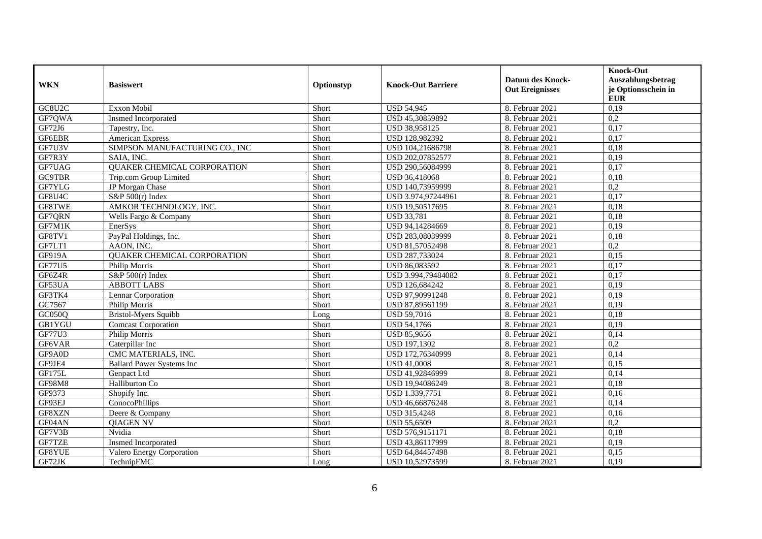| <b>WKN</b>    | <b>Basiswert</b>                   | Optionstyp | <b>Knock-Out Barriere</b> | <b>Datum des Knock-</b><br><b>Out Ereignisses</b> | <b>Knock-Out</b><br>Auszahlungsbetrag<br>je Optionsschein in<br><b>EUR</b> |
|---------------|------------------------------------|------------|---------------------------|---------------------------------------------------|----------------------------------------------------------------------------|
| GC8U2C        | Exxon Mobil                        | Short      | <b>USD 54,945</b>         | 8. Februar 2021                                   | 0,19                                                                       |
| GF7QWA        | <b>Insmed Incorporated</b>         | Short      | USD 45.30859892           | 8. Februar 2021                                   | 0,2                                                                        |
| GF72J6        | Tapestry, Inc.                     | Short      | USD 38,958125             | 8. Februar 2021                                   | 0,17                                                                       |
| GF6EBR        | <b>American Express</b>            | Short      | USD 128,982392            | 8. Februar 2021                                   | 0,17                                                                       |
| GF7U3V        | SIMPSON MANUFACTURING CO., INC     | Short      | USD 104,21686798          | 8. Februar 2021                                   | 0,18                                                                       |
| GF7R3Y        | SAIA, INC.                         | Short      | USD 202,07852577          | 8. Februar 2021                                   | 0,19                                                                       |
| GF7UAG        | <b>QUAKER CHEMICAL CORPORATION</b> | Short      | USD 290,56084999          | 8. Februar 2021                                   | 0,17                                                                       |
| <b>GC9TBR</b> | Trip.com Group Limited             | Short      | USD 36,418068             | 8. Februar 2021                                   | 0,18                                                                       |
| GF7YLG        | JP Morgan Chase                    | Short      | USD 140,73959999          | 8. Februar 2021                                   | $\overline{0.2}$                                                           |
| GF8U4C        | S&P $500(r)$ Index                 | Short      | USD 3.974,97244961        | 8. Februar 2021                                   | 0,17                                                                       |
| GF8TWE        | AMKOR TECHNOLOGY, INC.             | Short      | USD 19,50517695           | 8. Februar 2021                                   | 0,18                                                                       |
| GF7QRN        | Wells Fargo & Company              | Short      | <b>USD 33,781</b>         | 8. Februar 2021                                   | 0,18                                                                       |
| GF7M1K        | EnerSys                            | Short      | USD 94,14284669           | 8. Februar 2021                                   | 0,19                                                                       |
| GF8TV1        | PayPal Holdings, Inc.              | Short      | USD 283,08039999          | 8. Februar 2021                                   | 0,18                                                                       |
| GF7LT1        | AAON, INC.                         | Short      | USD 81,57052498           | 8. Februar 2021                                   | 0,2                                                                        |
| GF919A        | <b>QUAKER CHEMICAL CORPORATION</b> | Short      | USD 287,733024            | 8. Februar 2021                                   | 0,15                                                                       |
| <b>GF77U5</b> | Philip Morris                      | Short      | USD 86,083592             | 8. Februar 2021                                   | 0,17                                                                       |
| GF6Z4R        | S&P 500(r) Index                   | Short      | USD 3.994,79484082        | 8. Februar 2021                                   | 0,17                                                                       |
| GF53UA        | <b>ABBOTT LABS</b>                 | Short      | USD 126,684242            | 8. Februar 2021                                   | 0,19                                                                       |
| GF3TK4        | Lennar Corporation                 | Short      | USD 97,90991248           | 8. Februar 2021                                   | 0,19                                                                       |
| GC7567        | Philip Morris                      | Short      | USD 87,89561199           | 8. Februar 2021                                   | 0,19                                                                       |
| GC050Q        | <b>Bristol-Myers Squibb</b>        | Long       | <b>USD 59,7016</b>        | 8. Februar 2021                                   | 0,18                                                                       |
| <b>GB1YGU</b> | <b>Comcast Corporation</b>         | Short      | <b>USD 54,1766</b>        | 8. Februar 2021                                   | 0,19                                                                       |
| GF77U3        | Philip Morris                      | Short      | <b>USD 85,9656</b>        | 8. Februar 2021                                   | 0,14                                                                       |
| GF6VAR        | Caterpillar Inc                    | Short      | USD 197,1302              | 8. Februar 2021                                   | 0,2                                                                        |
| GF9A0D        | CMC MATERIALS, INC.                | Short      | USD 172,76340999          | 8. Februar 2021                                   | 0,14                                                                       |
| GF9JE4        | <b>Ballard Power Systems Inc</b>   | Short      | <b>USD 41,0008</b>        | 8. Februar 2021                                   | 0,15                                                                       |
| GF175L        | Genpact Ltd                        | Short      | USD 41,92846999           | 8. Februar 2021                                   | 0,14                                                                       |
| GF98M8        | Halliburton Co                     | Short      | USD 19,94086249           | 8. Februar 2021                                   | 0,18                                                                       |
| GF9373        | Shopify Inc.                       | Short      | USD 1.339,7751            | 8. Februar 2021                                   | 0,16                                                                       |
| GF93EJ        | ConocoPhillips                     | Short      | USD 46,66876248           | 8. Februar 2021                                   | 0,14                                                                       |
| GF8XZN        | Deere & Company                    | Short      | USD 315,4248              | 8. Februar 2021                                   | 0,16                                                                       |
| GF04AN        | <b>OIAGEN NV</b>                   | Short      | <b>USD 55,6509</b>        | 8. Februar 2021                                   | 0,2                                                                        |
| GF7V3B        | Nvidia                             | Short      | USD 576,9151171           | 8. Februar 2021                                   | 0,18                                                                       |
| GF7TZE        | <b>Insmed Incorporated</b>         | Short      | USD 43,86117999           | 8. Februar 2021                                   | 0,19                                                                       |
| GF8YUE        | Valero Energy Corporation          | Short      | USD 64,84457498           | 8. Februar 2021                                   | 0,15                                                                       |
| GF72JK        | TechnipFMC                         | Long       | USD 10,52973599           | 8. Februar 2021                                   | 0,19                                                                       |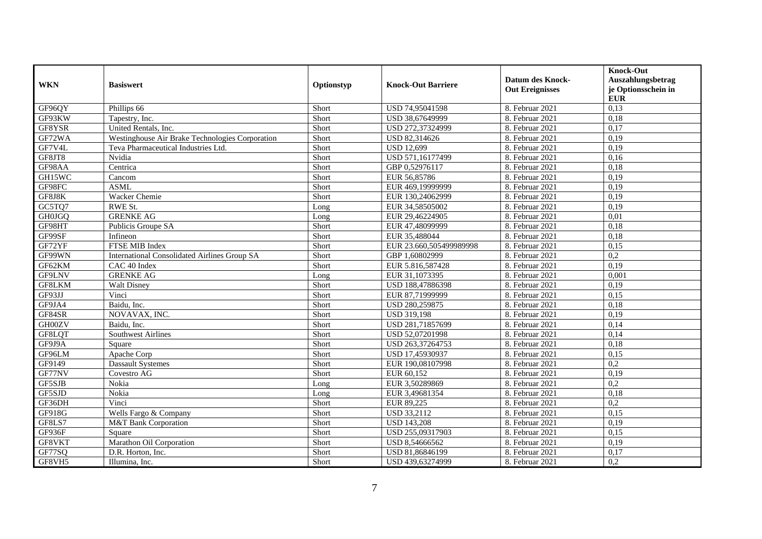| <b>WKN</b>    | <b>Basiswert</b>                                    | Optionstyp | <b>Knock-Out Barriere</b> | <b>Datum des Knock-</b><br><b>Out Ereignisses</b> | <b>Knock-Out</b><br>Auszahlungsbetrag<br>je Optionsschein in<br><b>EUR</b> |
|---------------|-----------------------------------------------------|------------|---------------------------|---------------------------------------------------|----------------------------------------------------------------------------|
| GF96QY        | Phillips 66                                         | Short      | USD 74,95041598           | 8. Februar 2021                                   | 0,13                                                                       |
| GF93KW        | Tapestry, Inc.                                      | Short      | USD 38,67649999           | 8. Februar 2021                                   | 0,18                                                                       |
| GF8YSR        | United Rentals, Inc.                                | Short      | USD 272,37324999          | 8. Februar 2021                                   | 0,17                                                                       |
| GF72WA        | Westinghouse Air Brake Technologies Corporation     | Short      | USD 82,314626             | 8. Februar 2021                                   | 0,19                                                                       |
| GF7V4L        | Teva Pharmaceutical Industries Ltd.                 | Short      | <b>USD 12,699</b>         | 8. Februar 2021                                   | 0,19                                                                       |
| GF8JT8        | Nvidia                                              | Short      | USD 571,16177499          | 8. Februar 2021                                   | 0,16                                                                       |
| GF98AA        | Centrica                                            | Short      | GBP 0,52976117            | 8. Februar 2021                                   | 0,18                                                                       |
| GH15WC        | Cancom                                              | Short      | EUR 56,85786              | 8. Februar 2021                                   | 0,19                                                                       |
| GF98FC        | <b>ASML</b>                                         | Short      | EUR 469,19999999          | 8. Februar 2021                                   | 0,19                                                                       |
| GF8J8K        | Wacker Chemie                                       | Short      | EUR 130,24062999          | 8. Februar 2021                                   | 0,19                                                                       |
| GC5TQ7        | RWE St.                                             | Long       | EUR 34,58505002           | 8. Februar 2021                                   | 0,19                                                                       |
| <b>GH0JGQ</b> | <b>GRENKE AG</b>                                    | Long       | EUR 29,46224905           | 8. Februar 2021                                   | 0,01                                                                       |
| GF98HT        | Publicis Groupe SA                                  | Short      | EUR 47,48099999           | 8. Februar 2021                                   | 0,18                                                                       |
| GF99SF        | Infineon                                            | Short      | EUR 35,488044             | 8. Februar 2021                                   | 0,18                                                                       |
| GF72YF        | FTSE MIB Index                                      | Short      | EUR 23.660,505499989998   | 8. Februar 2021                                   | 0,15                                                                       |
| GF99WN        | <b>International Consolidated Airlines Group SA</b> | Short      | GBP 1,60802999            | 8. Februar 2021                                   | 0,2                                                                        |
| GF62KM        | CAC 40 Index                                        | Short      | EUR 5.816,587428          | 8. Februar 2021                                   | 0,19                                                                       |
| GF9LNV        | <b>GRENKE AG</b>                                    | Long       | EUR 31,1073395            | 8. Februar 2021                                   | 0,001                                                                      |
| GF8LKM        | <b>Walt Disney</b>                                  | Short      | USD 188,47886398          | 8. Februar 2021                                   | 0,19                                                                       |
| GF93JJ        | Vinci                                               | Short      | EUR 87,71999999           | 8. Februar 2021                                   | 0,15                                                                       |
| GF9JA4        | Baidu, Inc.                                         | Short      | USD 280,259875            | 8. Februar 2021                                   | 0,18                                                                       |
| GF84SR        | NOVAVAX, INC.                                       | Short      | <b>USD 319,198</b>        | 8. Februar 2021                                   | 0,19                                                                       |
| GH00ZV        | Baidu, Inc.                                         | Short      | USD 281,71857699          | 8. Februar 2021                                   | 0,14                                                                       |
| GF8LQT        | <b>Southwest Airlines</b>                           | Short      | USD 52,07201998           | 8. Februar 2021                                   | 0,14                                                                       |
| GF9J9A        | Square                                              | Short      | USD 263,37264753          | 8. Februar 2021                                   | 0,18                                                                       |
| GF96LM        | Apache Corp                                         | Short      | USD 17,45930937           | 8. Februar 2021                                   | 0,15                                                                       |
| GF9149        | <b>Dassault Systemes</b>                            | Short      | EUR 190,08107998          | 8. Februar 2021                                   | $\overline{0,2}$                                                           |
| GF77NV        | Covestro AG                                         | Short      | EUR 60,152                | 8. Februar 2021                                   | 0,19                                                                       |
| GF5SJB        | Nokia                                               | Long       | EUR 3,50289869            | 8. Februar 2021                                   | 0,2                                                                        |
| GF5SJD        | Nokia                                               | Long       | EUR 3,49681354            | 8. Februar 2021                                   | 0,18                                                                       |
| GF36DH        | Vinci                                               | Short      | EUR 89,225                | 8. Februar 2021                                   | 0,2                                                                        |
| GF918G        | Wells Fargo & Company                               | Short      | <b>USD 33,2112</b>        | 8. Februar 2021                                   | 0,15                                                                       |
| GF8LS7        | M&T Bank Corporation                                | Short      | <b>USD 143,208</b>        | 8. Februar 2021                                   | 0,19                                                                       |
| GF936F        | Square                                              | Short      | USD 255,09317903          | 8. Februar 2021                                   | 0,15                                                                       |
| GF8VKT        | Marathon Oil Corporation                            | Short      | USD 8,54666562            | 8. Februar 2021                                   | 0,19                                                                       |
| GF77SQ        | D.R. Horton, Inc.                                   | Short      | USD 81,86846199           | 8. Februar 2021                                   | 0,17                                                                       |
| GF8VH5        | Illumina, Inc.                                      | Short      | USD 439,63274999          | 8. Februar 2021                                   | 0,2                                                                        |